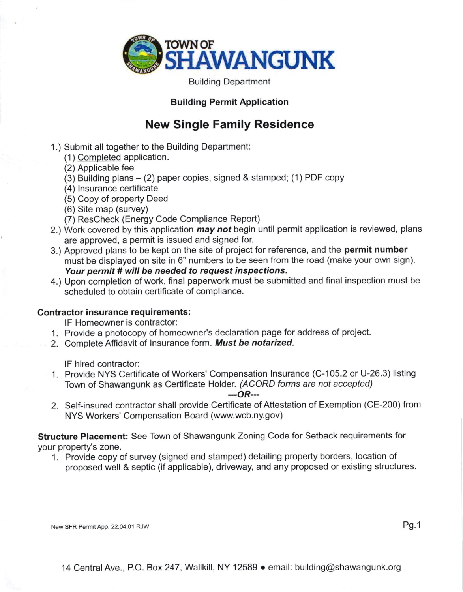

Building Department

## Building Permit Application

## New Single Family Residence

- 1.) Submit all together to the Building Department:
	- (1 ) Completed application.
	- (2) Applicable fee
	- $(3)$  Building plans  $(2)$  paper copies, signed & stamped;  $(1)$  PDF copy
	- (4) lnsurance certificate
	- (5) Copy of property Deed
	- (6) Site map (survey)
	- (7) ResCheck (Energy Code Compliance Report)
- 2.) Work covered by this application *may not* begin until permit application is reviewed, plans are approved, a permit is issued and signed for.
- 3.) Approved plans to be kept on the site of project for reference, and the permit number must be displayed on site in 6" numbers to be seen from the road (make your own sign). Your permit # will be needed to request inspections.
- 4.) Upon completion of work, final paperwork must be submitted and final inspection must be scheduled to obtain certificate of compliance.

## Contractor insurance requirements:

lF Homeowner is contractor:

- 1. Provide a photocopy of homeowner's declaration page for address of project.
- 2. Complete Affidavit of Insurance form. Must be notarized.

lF hired contractor:

<sup>1</sup>. Provide NYS Certificate of Workers' Compensation lnsurance (C-105.2 or U-26.3) listing Town of Shawangunk as Certificate Holder. (ACORD forms are not accepted)

 $OR$ ---

2. Self-insured contractor shall provide Certificate of Attestation of Exemption (CE-200) from NYS Workers' Compensation Board (www.wcb.ny. gov)

Structure Placement: See Town of Shawangunk Zoning Code for Setback requirements for your property's zone.

1. Provide copy of survey (signed and stamped) detailing property borders, location of proposed well & septic (if applicable), driveway, and any proposed or existing structures.

New SFR Permit App. 22.04.01 RJW